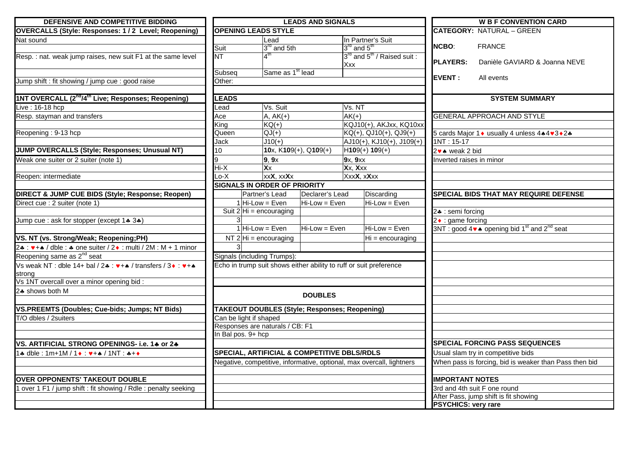| DEFENSIVE AND COMPETITIVE BIDDING                                                                                                                   | <b>LEADS AND SIGNALS</b>   |                                                                       |                          |                                     | <b>W B F CONVENTION CARD</b>          |                            |                                                                                    |
|-----------------------------------------------------------------------------------------------------------------------------------------------------|----------------------------|-----------------------------------------------------------------------|--------------------------|-------------------------------------|---------------------------------------|----------------------------|------------------------------------------------------------------------------------|
| <b>OVERCALLS (Style: Responses: 1/2 Level; Reopening)</b>                                                                                           | <b>OPENING LEADS STYLE</b> |                                                                       |                          |                                     | <b>CATEGORY: NATURAL - GREEN</b>      |                            |                                                                                    |
| Nat sound                                                                                                                                           |                            | Lead                                                                  |                          |                                     | In Partner's Suit                     |                            |                                                                                    |
|                                                                                                                                                     | Suit                       | 3 <sup>rd</sup> and 5th                                               |                          | $3^{\text{rd}}$ and $5^{\text{th}}$ |                                       | <b>NCBO:</b>               | <b>FRANCE</b>                                                                      |
| Resp.: nat. weak jump raises, new suit F1 at the same level                                                                                         | NT                         | $\boldsymbol{\Lambda}^\textsf{th}$                                    |                          |                                     | $3^{rd}$ and $5^{th}$ / Raised suit : |                            |                                                                                    |
|                                                                                                                                                     |                            |                                                                       |                          | Xxx                                 |                                       | <b>PLAYERS:</b>            | Danièle GAVIARD & Joanna NEVE                                                      |
|                                                                                                                                                     | Subseq                     | Same as 1 <sup>st</sup> lead                                          |                          |                                     |                                       | <b>EVENT:</b>              | All events                                                                         |
| Jump shift : fit showing / jump cue : good raise                                                                                                    | Other:                     |                                                                       |                          |                                     |                                       |                            |                                                                                    |
|                                                                                                                                                     |                            |                                                                       |                          |                                     |                                       |                            |                                                                                    |
| 1NT OVERCALL (2 <sup>nd</sup> /4 <sup>th</sup> Live; Responses; Reopening)                                                                          | <b>LEADS</b>               |                                                                       |                          |                                     |                                       |                            | <b>SYSTEM SUMMARY</b>                                                              |
| Live: 16-18 hcp                                                                                                                                     | Lead                       | Vs. Suit                                                              |                          | Vs. NT                              |                                       |                            |                                                                                    |
| Resp. stayman and transfers                                                                                                                         | Ace                        | $A, AK(+)$                                                            |                          | $AK(+)$                             |                                       |                            | <b>GENERAL APPROACH AND STYLE</b>                                                  |
|                                                                                                                                                     | King                       | $KQ(+)$                                                               |                          |                                     | KQJ10(+), AKJxx, KQ10xx               |                            |                                                                                    |
| Reopening: 9-13 hcp                                                                                                                                 | Queen                      | $QJ(+)$                                                               |                          |                                     | $KQ(+)$ , QJ10(+), QJ9(+)             |                            | 5 cards Major 1 ♦ usually 4 unless 4 • 4 • 3 • 2 •                                 |
|                                                                                                                                                     | Jack                       | $J10(+)$                                                              |                          |                                     | $AJ10(+), KJ10(+), J109(+)$           | $1NT: 15-17$               |                                                                                    |
| JUMP OVERCALLS (Style; Responses; Unusual NT)                                                                                                       | 10 <sup>1</sup>            |                                                                       | 10x, $K109(+)$ , Q109(+) | $H109(+) 109(+)$                    |                                       | 2v ★ weak 2 bid            |                                                                                    |
| Weak one suiter or 2 suiter (note 1)                                                                                                                | q                          | 9, 9x                                                                 |                          | 9x, 9xx                             |                                       | Inverted raises in minor   |                                                                                    |
|                                                                                                                                                     | Hi-X                       | $\overline{\mathbf{X} \mathbf{X}}$                                    |                          | Xx, Xxx                             |                                       |                            |                                                                                    |
| Reopen: intermediate                                                                                                                                | $Lo-X$                     | xxX, xxXx                                                             |                          | XxxX, xXxx                          |                                       |                            |                                                                                    |
|                                                                                                                                                     |                            | <b>SIGNALS IN ORDER OF PRIORITY</b>                                   |                          |                                     |                                       |                            |                                                                                    |
| DIRECT & JUMP CUE BIDS (Style; Response; Reopen)                                                                                                    |                            | Partner's Lead                                                        | Declarer's Lead          |                                     | Discarding                            |                            | SPECIAL BIDS THAT MAY REQUIRE DEFENSE                                              |
| Direct cue : 2 suiter (note 1)                                                                                                                      |                            | $1$ Hi-Low = Even                                                     | Hi-Low = Even            |                                     | Hi-Low = Even                         |                            |                                                                                    |
|                                                                                                                                                     |                            | Suit $2 Hi = \text{encouraging}$                                      |                          |                                     |                                       | 24 : semi forcing          |                                                                                    |
| Jump cue : ask for stopper (except 1+ 3+)                                                                                                           |                            |                                                                       |                          |                                     |                                       | $2 \cdot$ : game forcing   |                                                                                    |
|                                                                                                                                                     |                            | $1$ Hi-Low = Even                                                     | Hi-Low = Even            |                                     | $Hi-Low = Even$                       |                            | 3NT : good 4 $\bullet\bullet$ opening bid 1 <sup>st</sup> and 2 <sup>nd</sup> seat |
| VS. NT (vs. Strong/Weak; Reopening;PH)                                                                                                              |                            | NT $2$ Hi = encouraging                                               |                          |                                     | $Hi = encoding$                       |                            |                                                                                    |
| 2. $\bullet$ : $\bullet$ + $\bullet$ / dble : $\bullet$ one suiter / 2. $\bullet$ : multi / 2M : M + 1 minor                                        |                            |                                                                       |                          |                                     |                                       |                            |                                                                                    |
| Reopening same as 2 <sup>nd</sup> seat                                                                                                              |                            | Signals (including Trumps):                                           |                          |                                     |                                       |                            |                                                                                    |
| Vs weak NT : dble 14+ bal / 2*: $\blacktriangledown + \blacktriangle$ / transfers / 3 $\blacktriangleright$ : $\blacktriangledown + \blacktriangle$ |                            | Echo in trump suit shows either ability to ruff or suit preference    |                          |                                     |                                       |                            |                                                                                    |
| strong                                                                                                                                              |                            |                                                                       |                          |                                     |                                       |                            |                                                                                    |
| Vs 1NT overcall over a minor opening bid:                                                                                                           |                            |                                                                       |                          |                                     |                                       |                            |                                                                                    |
| 2♣ shows both M                                                                                                                                     |                            |                                                                       |                          |                                     |                                       |                            |                                                                                    |
|                                                                                                                                                     |                            |                                                                       | <b>DOUBLES</b>           |                                     |                                       |                            |                                                                                    |
| <b>VS.PREEMTS (Doubles; Cue-bids; Jumps; NT Bids)</b>                                                                                               |                            | <b>TAKEOUT DOUBLES (Style; Responses; Reopening)</b>                  |                          |                                     |                                       |                            |                                                                                    |
| T/O dbles / 2suiters                                                                                                                                |                            | Can be light if shaped                                                |                          |                                     |                                       |                            |                                                                                    |
|                                                                                                                                                     |                            | Responses are naturals / CB: F1                                       |                          |                                     |                                       |                            |                                                                                    |
|                                                                                                                                                     | In Bal pos. 9+ hcp         |                                                                       |                          |                                     |                                       |                            |                                                                                    |
| VS. ARTIFICIAL STRONG OPENINGS- i.e. 14 or 24                                                                                                       |                            |                                                                       |                          |                                     |                                       |                            | <b>SPECIAL FORCING PASS SEQUENCES</b>                                              |
| $1*$ dble : 1m+1M / 1 $\bullet$ : $\bullet$ + $\bullet$ / 1NT : $\bullet$ + $\bullet$                                                               |                            | <b>SPECIAL, ARTIFICIAL &amp; COMPETITIVE DBLS/RDLS</b>                |                          |                                     |                                       |                            | Usual slam try in competitive bids                                                 |
|                                                                                                                                                     |                            | Negative, competitive, informative, optional, max overcall, lightners |                          |                                     |                                       |                            | When pass is forcing, bid is weaker than Pass then bid                             |
|                                                                                                                                                     |                            |                                                                       |                          |                                     |                                       |                            |                                                                                    |
| <b>OVER OPPONENTS' TAKEOUT DOUBLE</b>                                                                                                               |                            |                                                                       |                          |                                     |                                       | <b>IMPORTANT NOTES</b>     |                                                                                    |
| 1 over 1 F1 / jump shift : fit showing / Rdle : penalty seeking                                                                                     |                            |                                                                       |                          |                                     |                                       |                            | 3rd and 4th suit F one round                                                       |
|                                                                                                                                                     |                            |                                                                       |                          |                                     |                                       |                            | After Pass, jump shift is fit showing                                              |
|                                                                                                                                                     |                            |                                                                       |                          |                                     |                                       | <b>PSYCHICS: very rare</b> |                                                                                    |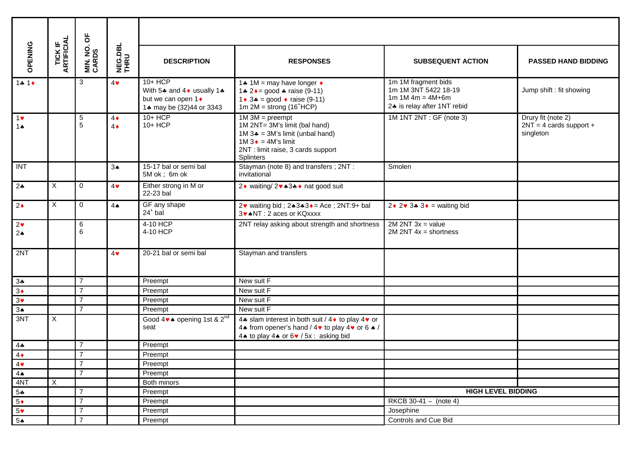|                             |                               | ხ                 |                          |                                                                                           |                                                                                                                                                                                  |                                                                                                  |                                                              |
|-----------------------------|-------------------------------|-------------------|--------------------------|-------------------------------------------------------------------------------------------|----------------------------------------------------------------------------------------------------------------------------------------------------------------------------------|--------------------------------------------------------------------------------------------------|--------------------------------------------------------------|
| OPENING                     | <b>TICK IF<br/>ARTIFICIAL</b> | MIN. NO.<br>CARDS | NEG.DBL<br>THRU          | <b>DESCRIPTION</b>                                                                        | <b>RESPONSES</b>                                                                                                                                                                 | <b>SUBSEQUENT ACTION</b>                                                                         | <b>PASSED HAND BIDDING</b>                                   |
| $14.1*$                     |                               | 3                 | $4\bullet$               | $10+HCP$<br>With 54 and 4 ♦ usually 14<br>but we can open 1 •<br>1. may be (32)44 or 3343 | 1.4 1M = may have longer $\triangleleft$<br>1.4 $2 \div = \text{good} + \text{raise} (9-11)$<br>1 ◆ 3 $\bullet$ = good ◆ raise (9-11)<br>1m $2M =$ strong (16 <sup>+</sup> HCP)  | 1m 1M fragment bids<br>1m 1M 3NT 5422 18-19<br>$1m 1M 4m = 4M+6m$<br>24 is relay after 1NT rebid | Jump shift : fit showing                                     |
| $1$ v<br>1 $\triangle$      |                               | $\,$ 5 $\,$<br>5  | $4\bullet$<br>$4\bullet$ | 10+ HCP<br>10+ HCP                                                                        | $1M$ 3M = preempt<br>1M 2NT= 3M's limit (bal hand)<br>1M $3\clubsuit$ = 3M's limit (unbal hand)<br>1M $3 \cdot = 4$ M's limit<br>2NT : limit raise, 3 cards support<br>Splinters | 1M 1NT 2NT : GF (note 3)                                                                         | Drury fit (note 2)<br>$2NT = 4$ cards support +<br>singleton |
| INT                         |                               |                   | $3*$                     | 15-17 bal or semi bal<br>5M ok; 6m ok                                                     | Stayman (note 8) and transfers; 2NT:<br>invitational                                                                                                                             | Smolen                                                                                           |                                                              |
| $2\clubsuit$                | $\overline{X}$                | $\Omega$          | $4\bullet$               | Either strong in M or<br>22-23 bal                                                        | 2◆ waiting/ 2◆ ★3← hat good suit                                                                                                                                                 |                                                                                                  |                                                              |
| $2\bullet$                  | X                             | $\mathbf 0$       | 4 <sub>•</sub>           | GF any shape<br>$24+$ bal                                                                 | 2 $\bullet$ waiting bid; $2 \cdot 3 \cdot 3 \cdot 5 =$ Ace; $2NT:9+$ bal<br>3v ANT : 2 aces or KQxxxx                                                                            | $2 \cdot 2 \cdot 3 \cdot 3 \cdot 3 =$ waiting bid                                                |                                                              |
| $2\bullet$<br>$2\spadesuit$ |                               | 6<br>6            |                          | 4-10 HCP<br>4-10 HCP                                                                      | 2NT relay asking about strength and shortness                                                                                                                                    | $2M 2NT 3x = value$<br>$2M 2NT 4x = shortness$                                                   |                                                              |
| 2NT                         |                               |                   | $4\bullet$               | 20-21 bal or semi bal                                                                     | Stayman and transfers                                                                                                                                                            |                                                                                                  |                                                              |
| $3*$                        |                               | $\overline{7}$    |                          | Preempt                                                                                   | New suit F                                                                                                                                                                       |                                                                                                  |                                                              |
| $3\bullet$                  |                               | $\overline{7}$    |                          | Preempt                                                                                   | New suit $\overline{F}$                                                                                                                                                          |                                                                                                  |                                                              |
| 3 <sub>Y</sub>              |                               | $\overline{7}$    |                          | Preempt                                                                                   | New suit F                                                                                                                                                                       |                                                                                                  |                                                              |
| $3*$                        |                               | $\overline{7}$    |                          | Preempt                                                                                   | New suit F                                                                                                                                                                       |                                                                                                  |                                                              |
| 3NT                         | X                             |                   |                          | Good 4 $\bullet\bullet$ opening 1st & 2 <sup>nd</sup><br>seat                             | 4. slam interest in both suit / 4 ♦ to play 4 • or<br>4* from opener's hand / 4* to play 4* or 6* /<br>4. to play 4. or 6. / 5x : asking bid                                     |                                                                                                  |                                                              |
| $4$ .                       |                               | $\overline{7}$    |                          | Preempt                                                                                   |                                                                                                                                                                                  |                                                                                                  |                                                              |
| $4\bullet$                  |                               | $\overline{7}$    |                          | Preempt                                                                                   |                                                                                                                                                                                  |                                                                                                  |                                                              |
| 4                           |                               | $\overline{7}$    |                          | Preempt                                                                                   |                                                                                                                                                                                  |                                                                                                  |                                                              |
| $4 \spadesuit$              |                               | $\overline{7}$    |                          | Preempt                                                                                   |                                                                                                                                                                                  |                                                                                                  |                                                              |
| 4NT                         | $\overline{X}$                |                   |                          | Both minors                                                                               |                                                                                                                                                                                  |                                                                                                  |                                                              |
| $5 -$                       |                               | $\overline{7}$    |                          | Preempt                                                                                   |                                                                                                                                                                                  | <b>HIGH LEVEL BIDDING</b>                                                                        |                                                              |
| $5*$                        |                               | $\overline{7}$    |                          | Preempt                                                                                   |                                                                                                                                                                                  | RKCB $30-41 - (note 4)$                                                                          |                                                              |
| 5 <sup>4</sup>              |                               | $\overline{7}$    |                          | Preempt                                                                                   |                                                                                                                                                                                  | Josephine                                                                                        |                                                              |
| $5*$                        |                               | $\overline{7}$    |                          | Preempt                                                                                   |                                                                                                                                                                                  | Controls and Cue Bid                                                                             |                                                              |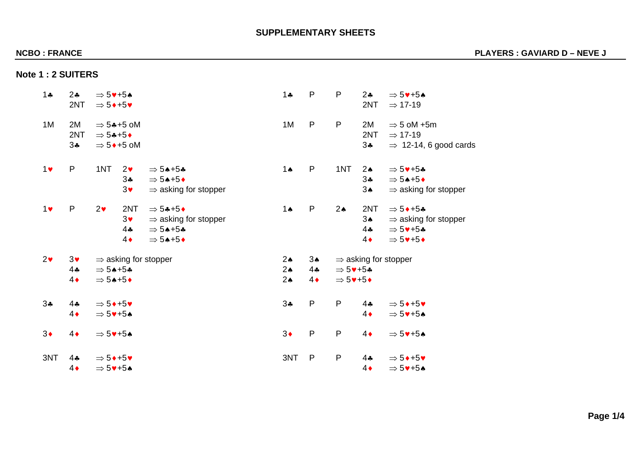# **SUPPLEMENTARY SHEETS**

# **NCBO : FRANCE PLAYERS : GAVIARD D – NEVE J**

| <b>Note 1 : 2 SUITERS</b> |  |
|---------------------------|--|
|---------------------------|--|

| $1 -$      | 24<br>2NT                         | $\Rightarrow$ 5 $\blacktriangledown$ +5 $\blacktriangle$<br>$\Rightarrow$ 5 $\leftrightarrow$ +5 $\bullet$                                                                   | $\mathsf{P}$<br>$1 -$                                                         | $\mathsf{P}$<br>$2 -$<br>2NT                                                                                                            | $\Rightarrow$ 5 $\blacktriangledown$ +5 $\blacktriangle$<br>$\Rightarrow$ 17-19                                                                                           |
|------------|-----------------------------------|------------------------------------------------------------------------------------------------------------------------------------------------------------------------------|-------------------------------------------------------------------------------|-----------------------------------------------------------------------------------------------------------------------------------------|---------------------------------------------------------------------------------------------------------------------------------------------------------------------------|
| 1M         | 2M<br>2NT<br>34                   | $\Rightarrow$ 54+5 oM<br>$\Rightarrow$ 54+5+<br>$\Rightarrow$ 5 $\bullet$ +5 oM                                                                                              | $\mathsf{P}$<br>1M                                                            | $\mathsf{P}$<br>2M<br>2NT<br>$3\clubsuit$                                                                                               | $\Rightarrow$ 5 oM +5m<br>$\Rightarrow$ 17-19<br>$\Rightarrow$ 12-14, 6 good cards                                                                                        |
| $1$ v      | ${\sf P}$                         | 1NT<br>2 <sub>v</sub><br>$\Rightarrow$ 54+54<br>34<br>$\Rightarrow$ 54+5+<br>$3\bullet$<br>$\Rightarrow$ asking for stopper                                                  | $\mathsf{P}$<br>$1 \spadesuit$                                                | 1NT<br>$2\spadesuit$<br>$3 -$<br>$3\spadesuit$                                                                                          | $\Rightarrow$ 5 $+$ 54<br>$\Rightarrow$ 54+5+<br>$\Rightarrow$ asking for stopper                                                                                         |
| 1          | $\mathsf{P}$                      | 2 <sub>v</sub><br>2NT<br>$\Rightarrow$ 54+5+<br>$3\blacktriangledown$<br>$\Rightarrow$ asking for stopper<br>4.4<br>$\Rightarrow$ 54+54<br>$4\bullet$<br>$\Rightarrow$ 54+5+ | P<br>$1 \spadesuit$                                                           | $2\spadesuit$<br>2NT<br>3 <sub>•</sub><br>$4$ ÷<br>$4\bullet$                                                                           | $\Rightarrow$ 5 $\leftrightarrow$ +5 $\clubsuit$<br>$\Rightarrow$ asking for stopper<br>$\Rightarrow$ 5 $+$ 54<br>$\Rightarrow$ 5 $\blacktriangledown$ +5 $\blacklozenge$ |
| $2\bullet$ | $3\bullet$<br>$4$ ÷<br>$4\bullet$ | $\Rightarrow$ asking for stopper<br>$\Rightarrow$ 54+54<br>$\Rightarrow$ 54+5+                                                                                               | $2\spadesuit$<br>$3*$<br>2 <sub>•</sub><br>4.4<br>$2\spadesuit$<br>$4\bullet$ | $\Rightarrow$ asking for stopper<br>$\Rightarrow$ 5 $\blacktriangledown$ +5*<br>$\Rightarrow$ 5 $\blacktriangledown$ +5 $\blacklozenge$ |                                                                                                                                                                           |
| 34         | 44<br>$4\bullet$                  | $\Rightarrow$ 5 $\leftrightarrow$ +5 $\bullet$<br>$\Rightarrow$ 5 $\blacktriangledown$ +5 $\blacktriangle$                                                                   | $\mathsf{P}$<br>34                                                            | $\mathsf{P}$<br>$4$ ÷<br>$4\bullet$                                                                                                     | $\Rightarrow$ 5 $\leftrightarrow$ +5 $\bullet$<br>$\Rightarrow$ 5 $\blacktriangledown$ +5 $\blacktriangle$                                                                |
| $3\bullet$ | $4\bullet$                        | $\Rightarrow$ 5 $\blacktriangledown$ +5 $\blacktriangle$                                                                                                                     | $3\bullet$<br>$\mathsf{P}$                                                    | ${\sf P}$<br>$4\bullet$                                                                                                                 | $\Rightarrow$ 5 $\blacktriangledown$ +5 $\blacktriangle$                                                                                                                  |
| 3NT        | $4$ +<br>$4\bullet$               | $\Rightarrow$ 5 $\leftrightarrow$ +5 $\bullet$<br>$\Rightarrow$ 5 $\blacktriangledown$ +5 $\blacktriangle$                                                                   | 3NT<br>$\mathsf{P}$                                                           | ${\sf P}$<br>$4$ ÷<br>$4\bullet$                                                                                                        | $\Rightarrow$ 5 $\leftrightarrow$ +5 $\bullet$<br>$\Rightarrow$ 5 $\blacktriangledown$ +5 $\blacktriangle$                                                                |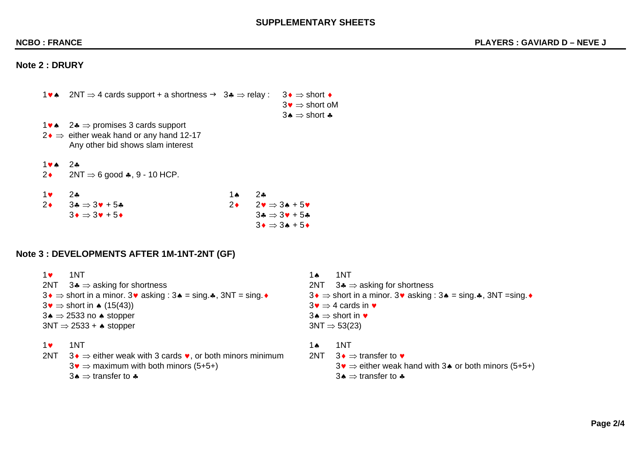## **SUPPLEMENTARY SHEETS**

## **Note 2 : DRURY**

| <b>1ve</b> | $2NT \Rightarrow 4$ cards support + a shortness $\rightarrow 3* \Rightarrow$ relay :                                                                                            | $3\blacklozenge$ ⇒ short $\blacklozenge$                            |
|------------|---------------------------------------------------------------------------------------------------------------------------------------------------------------------------------|---------------------------------------------------------------------|
|            |                                                                                                                                                                                 | $3\bullet \Rightarrow$ short oM<br>$3\clubsuit$ ⇒ short $\clubsuit$ |
|            | 1 $\bullet \bullet \quad 2 \bullet \Rightarrow$ promises 3 cards support<br>$2 \rightarrow \Rightarrow$ either weak hand or any hand 12-17<br>Any other bid shows slam interest |                                                                     |
|            |                                                                                                                                                                                 |                                                                     |

♥♠ 2♣

 $2NT \Rightarrow 6$  good  $\clubsuit$ , 9 - 10 HCP.

| $1$ v $2a$                                    | 1ѧ | $2$ *                                                                                   |
|-----------------------------------------------|----|-----------------------------------------------------------------------------------------|
| 2 $3 \cdot 3 \cdot 3 \cdot 7 \cdot 5 \cdot 6$ |    | $2\bullet \qquad 2\blacktriangledown \Rightarrow 3\blacktriangle + 5\blacktriangledown$ |
| $3 \bullet \Rightarrow 3 \bullet + 5 \bullet$ |    | $3\clubsuit \Rightarrow 3\blacktriangledown + 5\clubsuit$                               |
|                                               |    | $3 \bullet \Rightarrow 3 \bullet + 5 \bullet$                                           |

# **Note 3 : DEVELOPMENTS AFTER 1M-1NT-2NT (GF)**

| $1$ v | 1NT                                                                                                         | 1 Ѧ | 1NT                                                                                                         |
|-------|-------------------------------------------------------------------------------------------------------------|-----|-------------------------------------------------------------------------------------------------------------|
|       | 2NT $3 \clubsuit \Rightarrow$ asking for shortness                                                          |     | 2NT $3 \cdot \Rightarrow$ asking for shortness                                                              |
|       | $3\bullet$ ⇒ short in a minor. 3 $\bullet$ asking : 3 $\bullet$ = sing. $\clubsuit$ , 3NT = sing. $\bullet$ |     | $3\bullet$ ⇒ short in a minor. 3 $\bullet$ asking : 3 $\bullet$ = sing. $\clubsuit$ , 3NT = sing. $\bullet$ |
|       | $3\bullet$ $\Rightarrow$ short in $\bullet$ (15(43))                                                        |     | $3\bullet \Rightarrow 4$ cards in $\bullet$                                                                 |
|       | $3\bullet$ ⇒ 2533 no $\bullet$ stopper                                                                      |     | 3↑ $\Rightarrow$ short in $\bullet$                                                                         |
|       | $3NT \Rightarrow 2533 + \bullet$ stopper                                                                    |     | $3NT \Rightarrow 53(23)$                                                                                    |
| $1$ v | 1NT                                                                                                         | 1 Ѧ | 1NT                                                                                                         |
| 2NT   | 3 $\rightarrow$ either weak with 3 cards $\bullet$ , or both minors minimum                                 | 2NT | $3\bullet$ ⇒ transfer to $\bullet$                                                                          |
|       | $3\bullet \Rightarrow$ maximum with both minors (5+5+)                                                      |     | $3\bullet$ $\Rightarrow$ either weak hand with 3 $\bullet$ or both minors (5+5+)                            |
|       | 3★ $\Rightarrow$ transfer to $\clubsuit$                                                                    |     | 3★ $\Rightarrow$ transfer to $\clubsuit$                                                                    |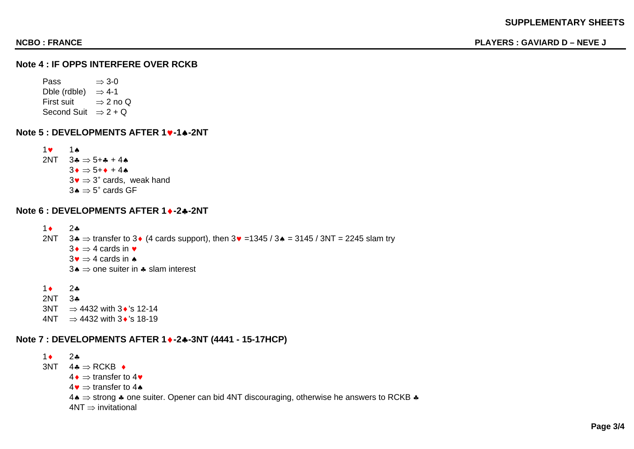## **Note 4 : IF OPPS INTERFERE OVER RCKB**

Pass  $\Rightarrow$  3-0 Dble (rdble)  $\Rightarrow$  4-1 First suit  $\Rightarrow$  2 no Q Second Suit  $\Rightarrow$  2 + Q

**Note 5 : DEVELOPMENTS AFTER 1**♥**-1**♠**-2NT**

1♥ 1♠ 2NT  $3.4 \Rightarrow 5 + .4 + 4.4$  $3\bullet$   $\Rightarrow$  5+ $\bullet$  + 4 $\bullet$  $3\bullet$   $\Rightarrow$  3<sup>+</sup> cards, weak hand  $3\spadesuit$  ⇒  $5^*$  cards GF

### **Note 6 : DEVELOPMENTS AFTER 1**♦**-2**♣**-2NT**

1♦ 2♣ 2NT  $3 \clubsuit \Rightarrow$  transfer to 3 $\bullet$  (4 cards support), then  $3 \triangledown = 1345 / 3 \spadesuit = 3145 / 3N$ T = 2245 slam try  $3\bullet$  ⇒ 4 cards in  $\bullet$  $3\bullet$   $\Rightarrow$  4 cards in  $\bullet$ 3 $\bullet$  ⇒ one suiter in  $\bullet$  slam interest

1♦ 2♣ 2NT 3♣  $3NT \Rightarrow 4432$  with  $3\cdot$ 's 12-14 4NT  $\Rightarrow$  4432 with 3 $\bullet$ 's 18-19

## **Note 7 : DEVELOPMENTS AFTER 1**♦**-2**♣**-3NT (4441 - 15-17HCP)**

1♦ 2♣  $3NT \quad 4 \clubsuit \Rightarrow RCKB \; \bullet$  $4\bullet$  ⇒ transfer to 4 $\bullet$  $4\bullet$   $\Rightarrow$  transfer to 4 $\bullet$ 4♠ ⇒ strong ♣ one suiter. Opener can bid 4NT discouraging, otherwise he answers to RCKB ♣  $4NT \Rightarrow$  invitational